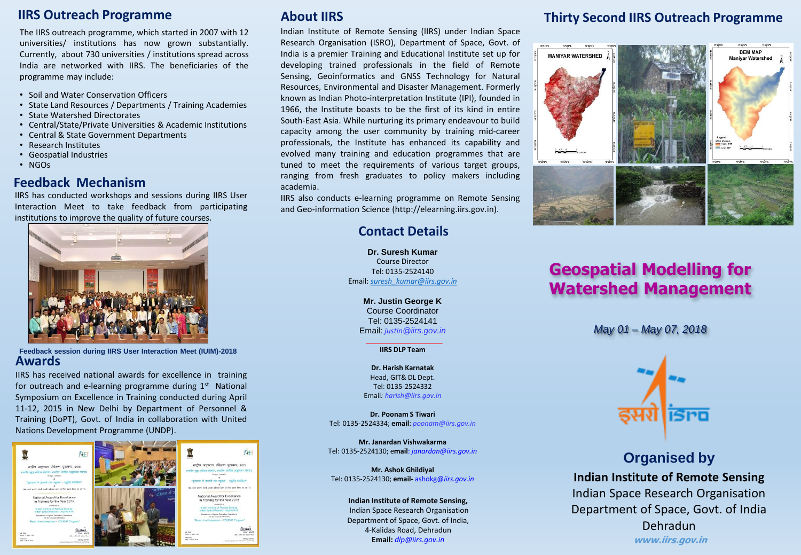#### **IIRS Outreach Programme**

The IIRS outreach programme, which started in 2007 with 12 universities/ institutions has now grown substantially. Currently, about 730 universities / institutions spread across India are networked with IIRS. The beneficiaries of the programme may include:

- Soil and Water Conservation Officers
- State Land Resources / Departments / Training Academies
- State Watershed Directorates
- Central/State/Private Universities & Academic Institutions
- Central & State Government Departments
- Research Institutes
- Geospatial Industries
- NGOs

#### **Feedback Mechanism**

IIRS has conducted workshops and sessions during IIRS User Interaction Meet to take feedback from participating institutions to improve the quality of future courses.



**Feedback session during IIRS User Interaction Meet (IUIM)-2018 Awards**

IIRS has received national awards for excellence in training for outreach and e-learning programme during 1<sup>st</sup> National Symposium on Excellence in Training conducted during April 11-12, 2015 in New Delhi by Department of Personnel & Training (DoPT), Govt. of India in collaboration with United Nations Development Programme (UNDP).



### **About IIRS**

Indian Institute of Remote Sensing (IIRS) under Indian Space Research Organisation (ISRO), Department of Space, Govt. of India is a premier Training and Educational Institute set up for developing trained professionals in the field of Remote Sensing, Geoinformatics and GNSS Technology for Natural Resources, Environmental and Disaster Management. Formerly known as Indian Photo-interpretation Institute (IPI), founded in 1966, the Institute boasts to be the first of its kind in entire South-East Asia. While nurturing its primary endeavour to build capacity among the user community by training mid-career professionals, the Institute has enhanced its capability and evolved many training and education programmes that are tuned to meet the requirements of various target groups, ranging from fresh graduates to policy makers including academia.

IIRS also conducts e-learning programme on Remote Sensing and Geo-information Science (http://elearning.iirs.gov.in).

### **Contact Details**

**Dr. Suresh Kumar** Course Director Tel: 0135-2524140 Email: *[suresh\\_kumar@iirs.gov.in](mailto:suresh_kumar@iirs.gov.in)*

> **Mr. Justin George K** Course Coordinator Tel: 0135-2524141 Email: *justin@iirs.gov.in*

\_\_\_\_\_\_\_\_\_\_\_\_\_\_\_\_\_\_\_\_ **IIRS DLP Team**

**Dr. Harish Karnatak** Head, GIT& DL Dept. Tel: 0135-2524332 Email*: harish@iirs.gov.in*

**Dr. Poonam S Tiwari** Tel: 0135-2524334; **email**: *poonam@iirs.gov.in*

**Mr. Janardan Vishwakarma** Tel: 0135-2524130; e**mail**: *janardan@iirs.gov.in*

**Mr. Ashok Ghildiyal** Tel: 0135-2524130; **email-** ashokg@*iirs.gov.in*

#### **Indian Institute of Remote Sensing,**

Indian Space Research Organisation Department of Space, Govt. of India, 4-Kalidas Road, Dehradun **Email:** *dlp@iirs.gov.in*

# **Thirty Second IIRS Outreach Programme**



# **Geospatial Modelling for Watershed Management**

*May 01 – May 07, 2018*



**Organised by Indian Institute of Remote Sensing** Indian Space Research Organisation Department of Space, Govt. of India Dehradun **www.iirs.gov.in**